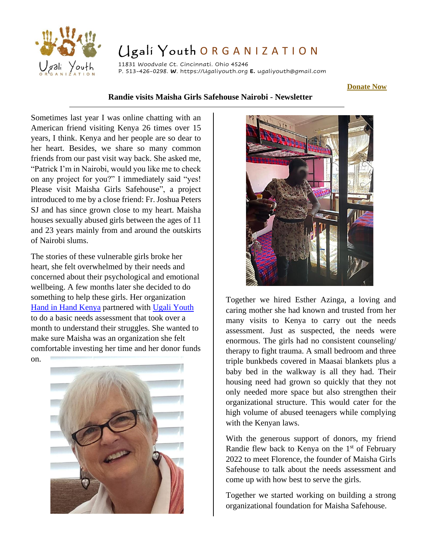

## Ugali Youth ORGANIZATION

11831 Woodvale Ct. Cincinnati. Ohio 45246 P. 513-426-0298. **W**. https://Ugaliyouth.org **E.** ugaliyouth@gmail.com

**[Donate Now](https://www.flipcause.com/secure/cause_pdetails/ODY4MTA=)**

## **Randie visits Maisha Girls Safehouse Nairobi - Newsletter**

Sometimes last year I was online chatting with an American friend visiting Kenya 26 times over 15 years, I think. Kenya and her people are so dear to her heart. Besides, we share so many common friends from our past visit way back. She asked me, "Patrick I'm in Nairobi, would you like me to check on any project for you?" I immediately said "yes! Please visit Maisha Girls Safehouse", a project introduced to me by a close friend: Fr. Joshua Peters SJ and has since grown close to my heart. Maisha houses sexually abused girls between the ages of 11 and 23 years mainly from and around the outskirts of Nairobi slums.

The stories of these vulnerable girls broke her heart, she felt overwhelmed by their needs and concerned about their psychological and emotional wellbeing. A few months later she decided to do something to help these girls. Her organization [Hand in Hand](https://www.facebook.com/HandinHandKenyaPage/?business_id=10152592499697447) Kenya partnered with [Ugali Youth](https://ugaliyouth.org/) to do a basic needs assessment that took over a month to understand their struggles. She wanted to make sure Maisha was an organization she felt comfortable investing her time and her donor funds

on.





Together we hired Esther Azinga, a loving and caring mother she had known and trusted from her many visits to Kenya to carry out the needs assessment. Just as suspected, the needs were enormous. The girls had no consistent counseling/ therapy to fight trauma. A small bedroom and three triple bunkbeds covered in Maasai blankets plus a baby bed in the walkway is all they had. Their housing need had grown so quickly that they not only needed more space but also strengthen their organizational structure. This would cater for the high volume of abused teenagers while complying with the Kenyan laws.

With the generous support of donors, my friend Randie flew back to Kenya on the  $1<sup>st</sup>$  of February 2022 to meet Florence, the founder of Maisha Girls Safehouse to talk about the needs assessment and come up with how best to serve the girls.

Together we started working on building a strong organizational foundation for Maisha Safehouse.